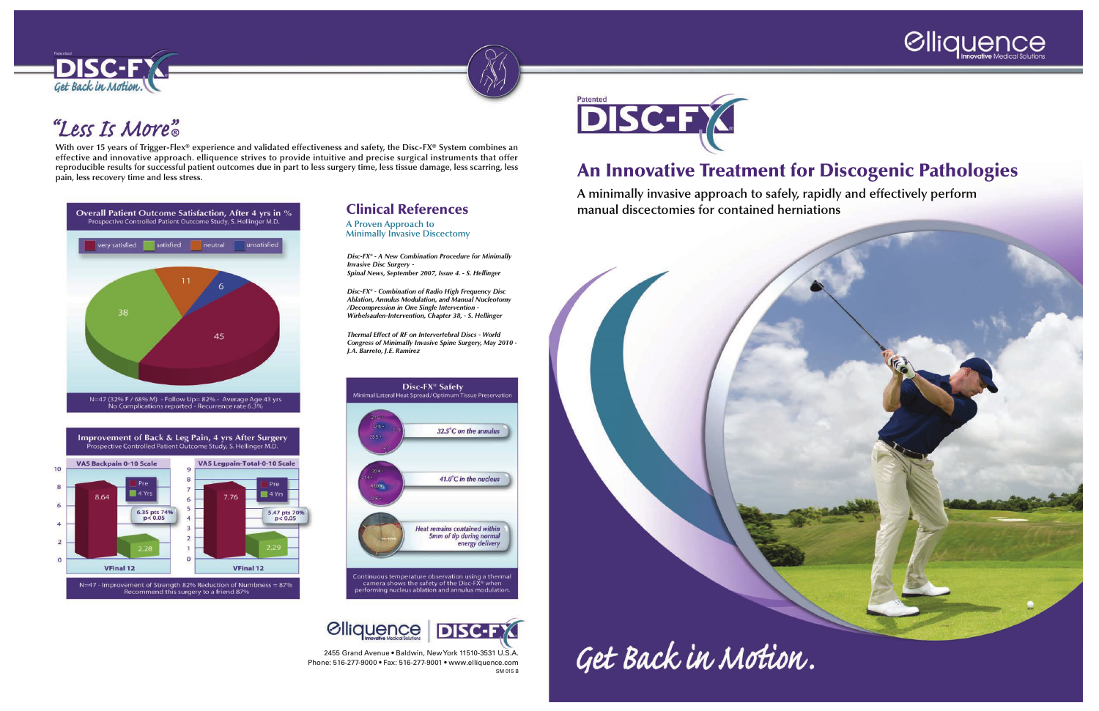



# "Less Is More"

# An Innovative Treatment for Discogenic Pathologies

**A minimally invasive approach to safely, rapidly and effectively perform manual discectomies for contained herniations**



Get Back in Motion.



2455 Grand Avenue • Baldwin, New York 11510-3531 U.S.A. Phone: 516-277-9000 • Fax: 516-277-9001 • www.elliquence.com SM 015 B



**With over 15 years of Trigger-Flex® experience and validated effectiveness and safety, the Disc-FX® System combines an effective and innovative approach. elliquence strives to provide intuitive and precise surgical instruments that offer reproducible results for successful patient outcomes due in part to less surgery time, less tissue damage, less scarring, less pain, less recovery time and less stress.**



Improvement of Back & Leg Pain, 4 yrs After Surgery Prospective Controlled Patient Outcome Study, S. Hellinger M.D.



### Clinical References

**A Proven Approach to Minimally Invasive Discectomy**

*Disc-FX® - A New Combination Procedure for Minimally Invasive Disc Surgery - Spinal News, September 2007, Issue 4. - S. Hellinger*

*Disc-FX® - Combination of Radio High Frequency Disc Ablation, Annulus Modulation, and Manual Nucleotomy /Decompression in One Single Intervention - Wirbelsaulen-Intervention, Chapter 38, - S. Hellinger*

*Thermal Effect of RF on Intervertebral Discs - World Congress of Minimally Invasive Spine Surgery, May 2010 - J.A. Barreto, J.E. Ramirez*



*<u>Clliquence</u>* DISC-FX